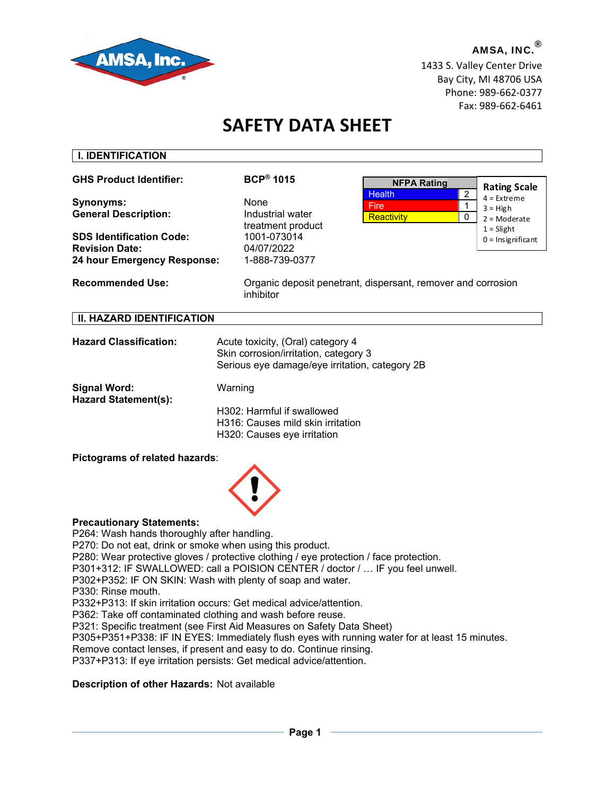

**I. IDENTIFICATION** 

AMSA, INC.<sup>®</sup> 1433 S. Valley Center Drive Bay City, MI 48706 USA Phone: 989-662-0377 Fax: 989-662-6461

# **SAFETY DATA SHEET**

| <b>GHS Product Identifier:</b>                                                          | $BCP^{\circledR}$ 1015                                                                                                       | <b>NFPA Rating</b>                                           |                                                                      |
|-----------------------------------------------------------------------------------------|------------------------------------------------------------------------------------------------------------------------------|--------------------------------------------------------------|----------------------------------------------------------------------|
| Synonyms:<br><b>General Description:</b>                                                | None<br>Industrial water<br>treatment product                                                                                | $\overline{2}$<br><b>Health</b><br>Fire<br>Reactivity<br>0   | <b>Rating Scale</b><br>$4 =$ Extreme<br>$3 = High$<br>$2 =$ Moderate |
| <b>SDS Identification Code:</b><br><b>Revision Date:</b><br>24 hour Emergency Response: | 1001-073014<br>04/07/2022<br>1-888-739-0377                                                                                  |                                                              | $1 =$ Slight<br>$0 =$ Insignificant                                  |
| <b>Recommended Use:</b>                                                                 | inhibitor                                                                                                                    | Organic deposit penetrant, dispersant, remover and corrosion |                                                                      |
| <b>II. HAZARD IDENTIFICATION</b>                                                        |                                                                                                                              |                                                              |                                                                      |
| <b>Hazard Classification:</b>                                                           | Acute toxicity, (Oral) category 4<br>Skin corrosion/irritation, category 3<br>Serious eye damage/eye irritation, category 2B |                                                              |                                                                      |
| <b>Signal Word:</b><br><b>Hazard Statement(s):</b>                                      | Warning<br>H302: Harmful if swallowed<br>H316: Causes mild skin irritation<br>H320: Causes eye irritation                    |                                                              |                                                                      |

#### **Pictograms of related hazards**:



#### **Precautionary Statements:**

P264: Wash hands thoroughly after handling.

P270: Do not eat, drink or smoke when using this product.

P280: Wear protective gloves / protective clothing / eye protection / face protection.

P301+312: IF SWALLOWED: call a POISION CENTER / doctor / … IF you feel unwell.

P302+P352: IF ON SKIN: Wash with plenty of soap and water.

P330: Rinse mouth.

P332+P313: If skin irritation occurs: Get medical advice/attention.

P362: Take off contaminated clothing and wash before reuse.

P321: Specific treatment (see First Aid Measures on Safety Data Sheet)

P305+P351+P338: IF IN EYES: Immediately flush eyes with running water for at least 15 minutes.

Remove contact lenses, if present and easy to do. Continue rinsing.

P337+P313: If eye irritation persists: Get medical advice/attention.

## **Description of other Hazards:** Not available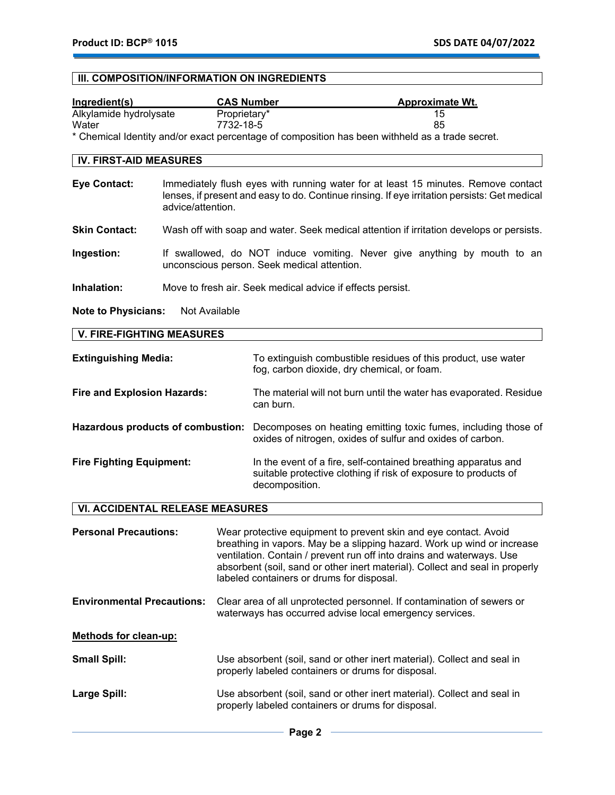# **III. COMPOSITION/INFORMATION ON INGREDIENTS**

| Ingredient(s)                                                                                   | <b>CAS Number</b> | <b>Approximate Wt.</b> |
|-------------------------------------------------------------------------------------------------|-------------------|------------------------|
| Alkylamide hydrolysate                                                                          | Proprietary*      | 15                     |
| Water                                                                                           | 7732-18-5         | 85                     |
| * Chemical Identity and/or exact percentage of composition has been withheld as a trade secret. |                   |                        |
| <b>IV. FIRST-AID MEASURES</b>                                                                   |                   |                        |

| Eye Contact:  | Immediately flush eyes with running water for at least 15 minutes. Remove contact<br>lenses, if present and easy to do. Continue rinsing. If eye irritation persists: Get medical<br>advice/attention. |
|---------------|--------------------------------------------------------------------------------------------------------------------------------------------------------------------------------------------------------|
| Clin Contacti | Week off with again and water. Caak medical ottention if irritation develope or perpiete.                                                                                                              |

- **Skin Contact:** Wash off with soap and water. Seek medical attention if irritation develops or persists.
- **Ingestion:** If swallowed, do NOT induce vomiting. Never give anything by mouth to an unconscious person. Seek medical attention.
- **Inhalation:** Move to fresh air. Seek medical advice if effects persist.

**Note to Physicians:** Not Available

| <b>Extinguishing Media:</b>        | To extinguish combustible residues of this product, use water<br>fog, carbon dioxide, dry chemical, or foam.                                        |
|------------------------------------|-----------------------------------------------------------------------------------------------------------------------------------------------------|
| <b>Fire and Explosion Hazards:</b> | The material will not burn until the water has evaporated. Residue<br>can burn.                                                                     |
| Hazardous products of combustion:  | Decomposes on heating emitting toxic fumes, including those of<br>oxides of nitrogen, oxides of sulfur and oxides of carbon.                        |
| <b>Fire Fighting Equipment:</b>    | In the event of a fire, self-contained breathing apparatus and<br>suitable protective clothing if risk of exposure to products of<br>decomposition. |

# **VI. ACCIDENTAL RELEASE MEASURES**

| <b>Personal Precautions:</b>      | Wear protective equipment to prevent skin and eye contact. Avoid<br>breathing in vapors. May be a slipping hazard. Work up wind or increase<br>ventilation. Contain / prevent run off into drains and waterways. Use<br>absorbent (soil, sand or other inert material). Collect and seal in properly<br>labeled containers or drums for disposal. |
|-----------------------------------|---------------------------------------------------------------------------------------------------------------------------------------------------------------------------------------------------------------------------------------------------------------------------------------------------------------------------------------------------|
| <b>Environmental Precautions:</b> | Clear area of all unprotected personnel. If contamination of sewers or<br>waterways has occurred advise local emergency services.                                                                                                                                                                                                                 |
| Methods for clean-up:             |                                                                                                                                                                                                                                                                                                                                                   |
| <b>Small Spill:</b>               | Use absorbent (soil, sand or other inert material). Collect and seal in<br>properly labeled containers or drums for disposal.                                                                                                                                                                                                                     |
| Large Spill:                      | Use absorbent (soil, sand or other inert material). Collect and seal in<br>properly labeled containers or drums for disposal.                                                                                                                                                                                                                     |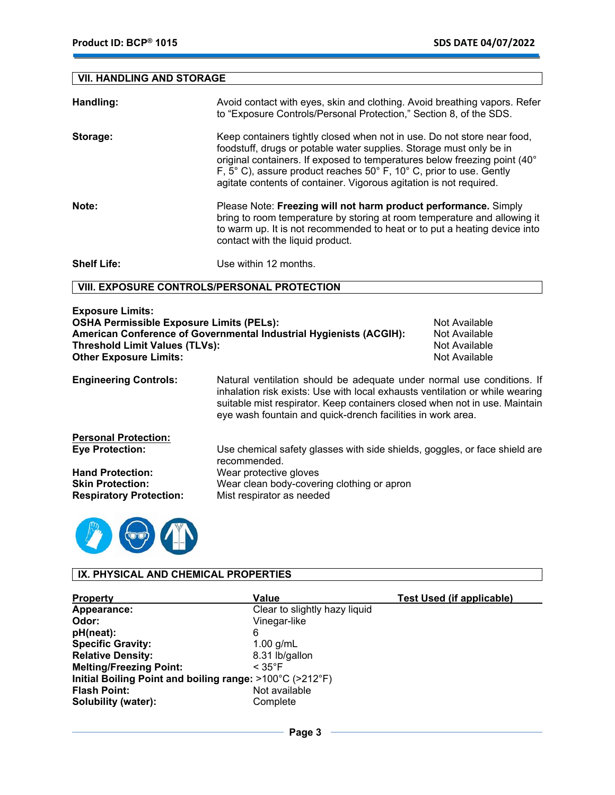# **VII. HANDLING AND STORAGE**

| Handling:          | Avoid contact with eyes, skin and clothing. Avoid breathing vapors. Refer<br>to "Exposure Controls/Personal Protection," Section 8, of the SDS.                                                                                                                                                                                                                          |
|--------------------|--------------------------------------------------------------------------------------------------------------------------------------------------------------------------------------------------------------------------------------------------------------------------------------------------------------------------------------------------------------------------|
| Storage:           | Keep containers tightly closed when not in use. Do not store near food,<br>foodstuff, drugs or potable water supplies. Storage must only be in<br>original containers. If exposed to temperatures below freezing point (40°<br>F, 5° C), assure product reaches 50° F, 10° C, prior to use. Gently<br>agitate contents of container. Vigorous agitation is not required. |
| Note:              | Please Note: Freezing will not harm product performance. Simply<br>bring to room temperature by storing at room temperature and allowing it<br>to warm up. It is not recommended to heat or to put a heating device into<br>contact with the liquid product.                                                                                                             |
| <b>Shelf Life:</b> | Use within 12 months.                                                                                                                                                                                                                                                                                                                                                    |

## **VIII. EXPOSURE CONTROLS/PERSONAL PROTECTION**

| <b>Exposure Limits:</b>                                            |               |
|--------------------------------------------------------------------|---------------|
| <b>OSHA Permissible Exposure Limits (PELs):</b>                    | Not Available |
| American Conference of Governmental Industrial Hvgienists (ACGIH): | Not Available |
| Threshold Limit Values (TLVs):                                     | Not Available |
| <b>Other Exposure Limits:</b>                                      | Not Available |
|                                                                    |               |

**Engineering Controls:** Natural ventilation should be adequate under normal use conditions. If inhalation risk exists: Use with local exhausts ventilation or while wearing suitable mist respirator. Keep containers closed when not in use. Maintain eye wash fountain and quick-drench facilities in work area.

| <b>Personal Protection:</b>    |                                                                                            |
|--------------------------------|--------------------------------------------------------------------------------------------|
| <b>Eye Protection:</b>         | Use chemical safety glasses with side shields, goggles, or face shield are<br>recommended. |
| <b>Hand Protection:</b>        | Wear protective gloves                                                                     |
| <b>Skin Protection:</b>        | Wear clean body-covering clothing or apron                                                 |
| <b>Respiratory Protection:</b> | Mist respirator as needed                                                                  |



# **IX. PHYSICAL AND CHEMICAL PROPERTIES**

| <b>Property</b>                                                               | Value                         | <b>Test Used (if applicable)</b> |  |
|-------------------------------------------------------------------------------|-------------------------------|----------------------------------|--|
| Appearance:                                                                   | Clear to slightly hazy liquid |                                  |  |
| Odor:                                                                         | Vinegar-like                  |                                  |  |
| pH(neat):                                                                     | 6                             |                                  |  |
| <b>Specific Gravity:</b>                                                      | $1.00$ g/mL                   |                                  |  |
| <b>Relative Density:</b>                                                      | 8.31 lb/gallon                |                                  |  |
| <b>Melting/Freezing Point:</b>                                                | $< 35^{\circ}$ F              |                                  |  |
| Initial Boiling Point and boiling range: $>100^{\circ}$ C ( $>212^{\circ}$ F) |                               |                                  |  |
| <b>Flash Point:</b>                                                           | Not available                 |                                  |  |
| <b>Solubility (water):</b>                                                    | Complete                      |                                  |  |

 $-$  Page 3  $-$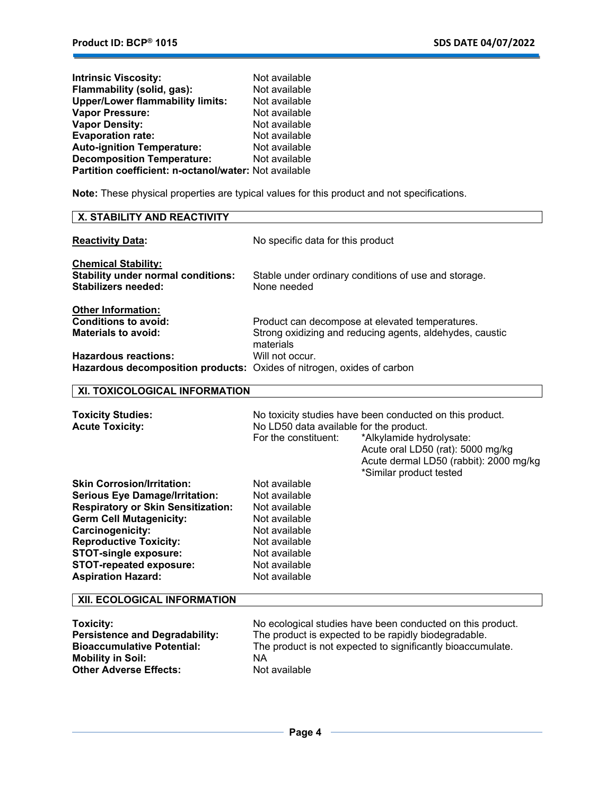| <b>Intrinsic Viscosity:</b>                           | Not available |
|-------------------------------------------------------|---------------|
| Flammability (solid, gas):                            | Not available |
| <b>Upper/Lower flammability limits:</b>               | Not available |
| <b>Vapor Pressure:</b>                                | Not available |
| <b>Vapor Density:</b>                                 | Not available |
| <b>Evaporation rate:</b>                              | Not available |
| <b>Auto-ignition Temperature:</b>                     | Not available |
| <b>Decomposition Temperature:</b>                     | Not available |
| Partition coefficient: n-octanol/water: Not available |               |

**Note:** These physical properties are typical values for this product and not specifications.

| <b>X. STABILITY AND REACTIVITY</b>                                                                                                                                                                                                                                                                            |                                                                                                                                                                                                                                                                   |  |
|---------------------------------------------------------------------------------------------------------------------------------------------------------------------------------------------------------------------------------------------------------------------------------------------------------------|-------------------------------------------------------------------------------------------------------------------------------------------------------------------------------------------------------------------------------------------------------------------|--|
| <b>Reactivity Data:</b>                                                                                                                                                                                                                                                                                       | No specific data for this product                                                                                                                                                                                                                                 |  |
| <b>Chemical Stability:</b><br><b>Stability under normal conditions:</b><br><b>Stabilizers needed:</b>                                                                                                                                                                                                         | Stable under ordinary conditions of use and storage.<br>None needed                                                                                                                                                                                               |  |
| <b>Other Information:</b><br><b>Conditions to avoid:</b><br><b>Materials to avoid:</b>                                                                                                                                                                                                                        | Product can decompose at elevated temperatures.<br>Strong oxidizing and reducing agents, aldehydes, caustic<br>materials                                                                                                                                          |  |
| <b>Hazardous reactions:</b><br>Hazardous decomposition products: Oxides of nitrogen, oxides of carbon                                                                                                                                                                                                         | Will not occur.                                                                                                                                                                                                                                                   |  |
| XI. TOXICOLOGICAL INFORMATION                                                                                                                                                                                                                                                                                 |                                                                                                                                                                                                                                                                   |  |
| <b>Toxicity Studies:</b><br><b>Acute Toxicity:</b>                                                                                                                                                                                                                                                            | No toxicity studies have been conducted on this product.<br>No LD50 data available for the product.<br>For the constituent:<br>*Alkylamide hydrolysate:<br>Acute oral LD50 (rat): 5000 mg/kg<br>Acute dermal LD50 (rabbit): 2000 mg/kg<br>*Similar product tested |  |
| <b>Skin Corrosion/Irritation:</b><br><b>Serious Eye Damage/Irritation:</b><br><b>Respiratory or Skin Sensitization:</b><br><b>Germ Cell Mutagenicity:</b><br>Carcinogenicity:<br><b>Reproductive Toxicity:</b><br><b>STOT-single exposure:</b><br><b>STOT-repeated exposure:</b><br><b>Aspiration Hazard:</b> | Not available<br>Not available<br>Not available<br>Not available<br>Not available<br>Not available<br>Not available<br>Not available<br>Not available                                                                                                             |  |
| XII. ECOLOGICAL INFORMATION                                                                                                                                                                                                                                                                                   |                                                                                                                                                                                                                                                                   |  |
| <b>Toxicity:</b><br><b>Persistence and Degradability:</b><br><b>Bioaccumulative Potential:</b><br><b>Mobility in Soil:</b><br><b>Other Adverse Effects:</b>                                                                                                                                                   | No ecological studies have been conducted on this product.<br>The product is expected to be rapidly biodegradable.<br>The product is not expected to significantly bioaccumulate.<br><b>NA</b><br>Not available                                                   |  |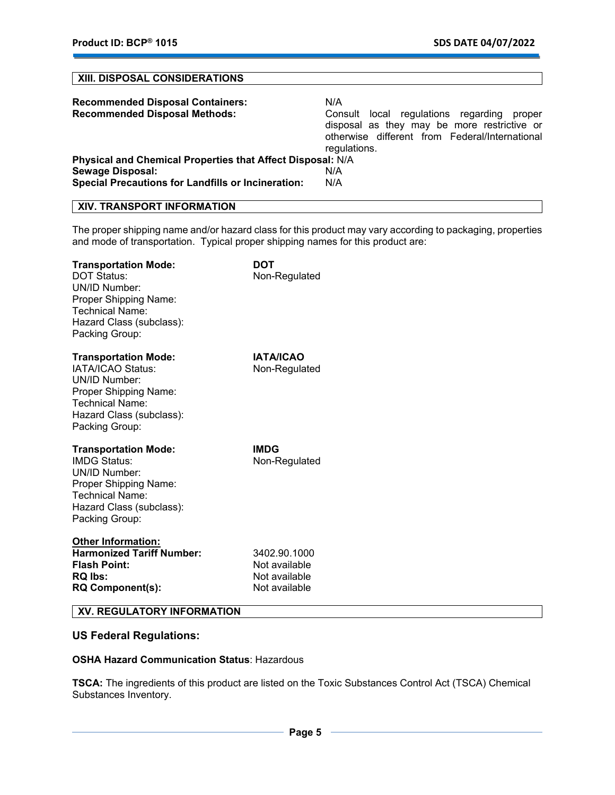## **XIII. DISPOSAL CONSIDERATIONS**

| <b>Recommended Disposal Containers:</b><br><b>Recommended Disposal Methods:</b> | N/A<br>Consult local regulations regarding<br>proper<br>disposal as they may be more restrictive or<br>otherwise different from Federal/International<br>regulations. |  |  |  |
|---------------------------------------------------------------------------------|-----------------------------------------------------------------------------------------------------------------------------------------------------------------------|--|--|--|
| Physical and Chemical Properties that Affect Disposal: N/A                      |                                                                                                                                                                       |  |  |  |
| <b>Sewage Disposal:</b>                                                         | N/A                                                                                                                                                                   |  |  |  |
| <b>Special Precautions for Landfills or Incineration:</b>                       | N/A                                                                                                                                                                   |  |  |  |

# **XIV. TRANSPORT INFORMATION**

The proper shipping name and/or hazard class for this product may vary according to packaging, properties and mode of transportation. Typical proper shipping names for this product are:

| <b>Transportation Mode:</b><br><b>DOT Status:</b><br>UN/ID Number:<br>Proper Shipping Name:<br>Technical Name:<br>Hazard Class (subclass):<br>Packing Group:         | DOT<br>Non-Regulated                                            |
|----------------------------------------------------------------------------------------------------------------------------------------------------------------------|-----------------------------------------------------------------|
| <b>Transportation Mode:</b><br>IATA/ICAO Status:<br>UN/ID Number:<br><b>Proper Shipping Name:</b><br>Technical Name:<br>Hazard Class (subclass):<br>Packing Group:   | <b>IATA/ICAO</b><br>Non-Regulated                               |
| <b>Transportation Mode:</b><br><b>IMDG Status:</b><br>UN/ID Number:<br>Proper Shipping Name:<br><b>Technical Name:</b><br>Hazard Class (subclass):<br>Packing Group: | <b>IMDG</b><br>Non-Regulated                                    |
| <b>Other Information:</b><br><b>Harmonized Tariff Number:</b><br><b>Flash Point:</b><br><b>RQ lbs:</b><br><b>RQ Component(s):</b>                                    | 3402.90.1000<br>Not available<br>Not available<br>Not available |

# **XV. REGULATORY INFORMATION**

## **US Federal Regulations:**

## **OSHA Hazard Communication Status**: Hazardous

**TSCA:** The ingredients of this product are listed on the Toxic Substances Control Act (TSCA) Chemical Substances Inventory.